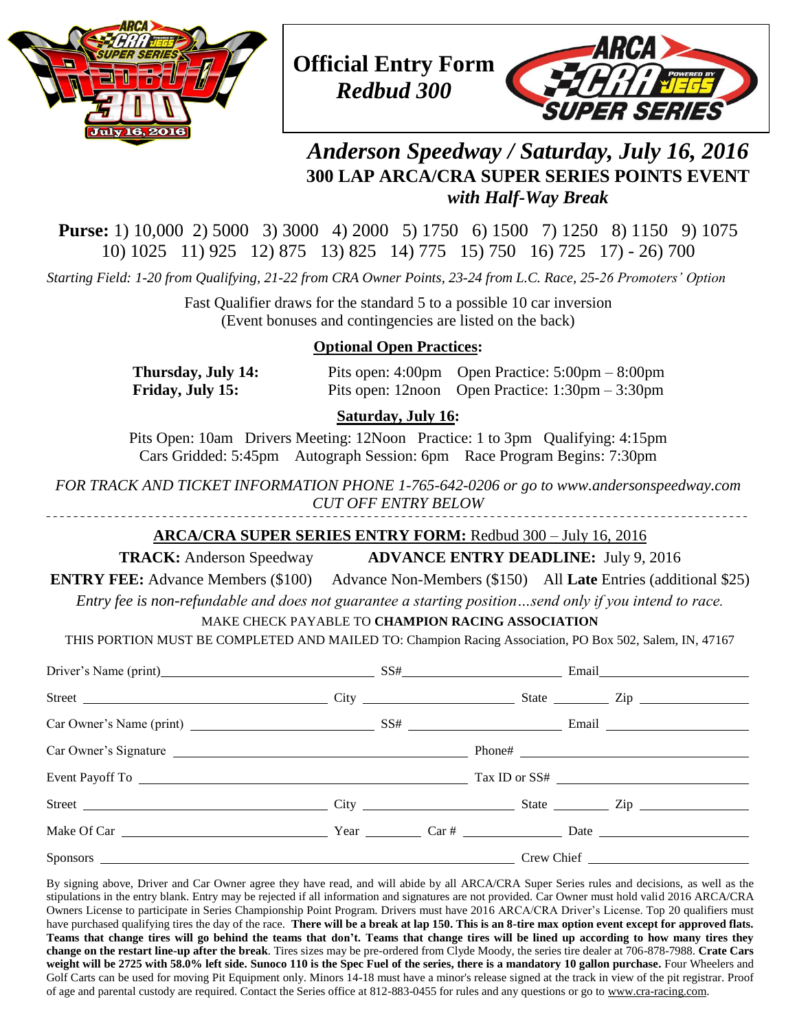



# *Anderson Speedway / Saturday, July 16, 2016* **300 LAP ARCA/CRA SUPER SERIES POINTS EVENT** *with Half-Way Break*

**Purse:** 1) 10,000 2) 5000 3) 3000 4) 2000 5) 1750 6) 1500 7) 1250 8) 1150 9) 1075 10) 1025 11) 925 12) 875 13) 825 14) 775 15) 750 16) 725 17) - 26) 700

*Starting Field: 1-20 from Qualifying, 21-22 from CRA Owner Points, 23-24 from L.C. Race, 25-26 Promoters' Option*

Fast Qualifier draws for the standard 5 to a possible 10 car inversion (Event bonuses and contingencies are listed on the back)

# **Optional Open Practices:**

**Thursday, July 14:** Pits open: 4:00pm Open Practice: 5:00pm – 8:00pm **Friday, July 15:** Pits open: 12noon Open Practice: 1:30pm – 3:30pm

## **Saturday, July 16:**

Pits Open: 10am Drivers Meeting: 12Noon Practice: 1 to 3pm Qualifying: 4:15pm Cars Gridded: 5:45pm Autograph Session: 6pm Race Program Begins: 7:30pm

*FOR TRACK AND TICKET INFORMATION PHONE 1-765-642-0206 or go to www.andersonspeedway.com CUT OFF ENTRY BELOW*

# **ARCA/CRA SUPER SERIES ENTRY FORM:** Redbud 300 – July 16, 2016

**TRACK:** Anderson Speedway **ADVANCE ENTRY DEADLINE:** July 9, 2016

**ENTRY FEE:** Advance Members (\$100) Advance Non-Members (\$150) All **Late** Entries (additional \$25)

*Entry fee is non-refundable and does not guarantee a starting position…send only if you intend to race.*

## MAKE CHECK PAYABLE TO **CHAMPION RACING ASSOCIATION**

THIS PORTION MUST BE COMPLETED AND MAILED TO: Champion Racing Association, PO Box 502, Salem, IN, 47167

| Driver's Name (print) SS# Email Email |  |  |  |        |  |
|---------------------------------------|--|--|--|--------|--|
|                                       |  |  |  |        |  |
|                                       |  |  |  |        |  |
| Car Owner's Signature                 |  |  |  | Phone# |  |
|                                       |  |  |  |        |  |
|                                       |  |  |  |        |  |
|                                       |  |  |  |        |  |
|                                       |  |  |  |        |  |

By signing above, Driver and Car Owner agree they have read, and will abide by all ARCA/CRA Super Series rules and decisions, as well as the stipulations in the entry blank. Entry may be rejected if all information and signatures are not provided. Car Owner must hold valid 2016 ARCA/CRA Owners License to participate in Series Championship Point Program. Drivers must have 2016 ARCA/CRA Driver's License. Top 20 qualifiers must have purchased qualifying tires the day of the race. **There will be a break at lap 150. This is an 8-tire max option event except for approved flats. Teams that change tires will go behind the teams that don't. Teams that change tires will be lined up according to how many tires they change on the restart line-up after the break**. Tires sizes may be pre-ordered from Clyde Moody, the series tire dealer at 706-878-7988. **Crate Cars weight will be 2725 with 58.0% left side. Sunoco 110 is the Spec Fuel of the series, there is a mandatory 10 gallon purchase.** Four Wheelers and Golf Carts can be used for moving Pit Equipment only. Minors 14-18 must have a minor's release signed at the track in view of the pit registrar. Proof of age and parental custody are required. Contact the Series office at 812-883-0455 for rules and any questions or go to [www.cra-racing.com.](http://www.cra-racing.com/)